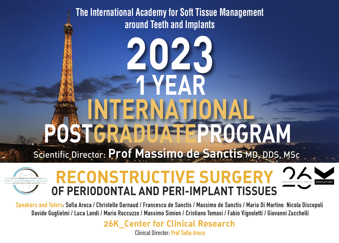**The International Academy for Soft Tissue Management around Teeth and Implants**

# **2023 POSTGRADUATEPROGRAM INTERNATIONAL 1 YEA** Scientific Director: **Prof Massimo de Sanctis** MD, DDS, MSc



# **RECONSTRUCTIVE SURGERY OF PERIODONTAL AND PERI-IMPLANT TISSUES**

Speakers and Tutors: Sofia Aroca / Christelle Darnaud / Francesco de Sanctis / Massimo de Sanctis / Maria Di Martino Nicola Discepoli Davide Guglielmi / Luca Landi / Mario Roccuzzo / Massimo Simion / Cristiano Tomasi / Fabio Vignoletti / Giovanni Zucchelli

> **26K\_Center for Clinical Research Clinical Director: Prof Sofia Aroca**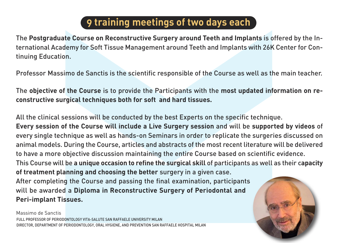# **9 training meetings of two days each**

The **Postgraduate Course on Reconstructive Surgery around Teeth and Implants** is offered by the International Academy for Soft Tissue Management around Teeth and Implants with 26K Center for Continuing Education.

Professor Massimo de Sanctis is the scientific responsible of the Course as well as the main teacher.

The **objective of the Course** is to provide the Participants with the **most updated information on reconstructive surgical techniques both for soft and hard tissues.**

All the clinical sessions will be conducted by the best Experts on the specific technique.

**Every session of the Course will include a Live Surgery session** and will be **supported by videos** of every single technique as well as hands-on Seminars in order to replicate the surgeries discussed on animal models. During the Course, articles and abstracts of the most recent literature will be delivered to have a more objective discussion maintaining the entire Course based on scientific evidence.

This Course will be **a unique occasion to refine the surgical skill** of participants as well as their c**apacity of treatment planning and choosing the better** surgery in a given case.

After completing the Course and passing the final examination, participants will be awarded a **Diploma in Reconstructive Surgery of Periodontal and Peri-implant Tissues.**

FULL PROFESSOR OF PERIODONTOLOGY VITA-SALUTE SAN RAFFAELE UNIVERSITY MILAN DIRECTOR, DEPARTMENT OF PERIODONTOLOGY, ORAL HYGIENE, AND PREVENTION SAN RAFFAELE HOSPITAL MILAN Massimo de Sanctis

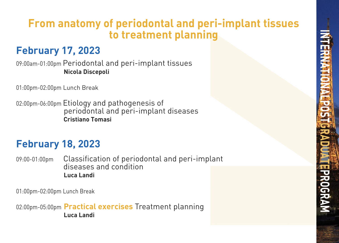# **From anatomy of periodontal and peri-implant tissues to treatment planning**

# **February 17, 2023**

09:00am-01:00pm Periodontal and peri-implant tissues **Nicola Discepoli**

01:00pm-02:00pm Lunch Break

02:00pm-06:00pm Etiology and pathogenesis of periodontal and peri-implant diseases **Cristiano Tomasi**

# **February 18, 2023**

09:00-01:00pm Classification of periodontal and peri-implant diseases and condition **Luca Landi**

01:00pm-02:00pm Lunch Break

02:00pm-05:00pm **Practical exercises** Treatment planning **Luca Landi**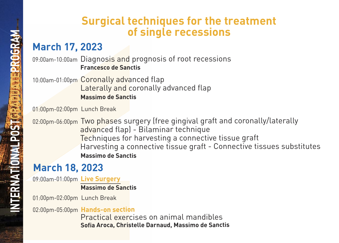### **Surgical techniques for the treatment of single recessions**

# **March 17, 2023**

09:00am-10:00am Diagnosis and prognosis of root recessions  **Francesco de Sanctis**

10:00am-01:00pm Coronally advanced flap **Laterally and coronally advanced flap Massimo de Sanctis**

01:00pm-02:00pm Lunch Break

02:00pm-06:00pm Two phases surgery (free gingival graft and coronally/laterally advanced flap) - Bilaminar technique Techniques for harvesting a connective tissue graft Harvesting a connective tissue graft - Connective tissues substitutes  **Massimo de Sanctis**

# **March 18, 2023**

09:00am-01:00pm **Live Surgery**

 **Massimo de Sanctis**

01:00pm-02:00pm Lunch Break

02:00pm-05:00pm **Hands-on section**

 Practical exercises on animal mandibles  **Sofia Aroca, Christelle Darnaud, Massimo de Sanctis**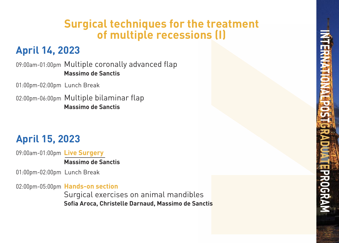# **Surgical techniques for the treatment of multiple recessions (I)**

# **April 14, 2023**

09:00am-01:00pm Multiple coronally advanced flap **Massimo de Sanctis**

01:00pm-02:00pm Lunch Break

02:00pm-06:00pm Multiple bilaminar flap **Massimo de Sanctis**

# **April 15, 2023**

09:00am-01:00pm **Live Surgery Massimo de Sanctis**

01:00pm-02:00pm Lunch Break

02:00pm-05:00pm **Hands-on section**

 Surgical exercises on animal mandibles **Sofia Aroca, Christelle Darnaud, Massimo de Sanctis**

INTERNATIONAL POSTGRADUATEPROGRAM PROGRAM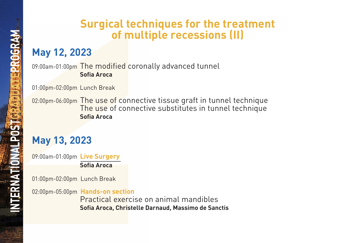# **Surgical techniques for the treatment of multiple recessions (II)**

# **May 12, 2023**

09:00am-01:00pm The modified coronally advanced tunnel  **Sofia Aroca**

01:00pm-02:00pm Lunch Break

02:00pm-06:00pm The use of connective tissue graft in tunnel technique The use of connective substitutes in tunnel technique  **Sofia Aroca**

# **May 13, 2023**

09:00am-01:00pm **Live Surgery**

 **Sofia Aroca**

01:00pm-02:00pm Lunch Break

02:00pm-05:00pm **Hands-on section**

Practical exercise on animal mandibles  **Sofia Aroca, Christelle Darnaud, Massimo de Sanctis**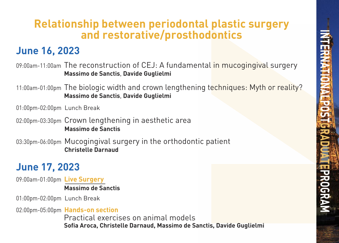# **Relationship between periodontal plastic surgery and restorative/prosthodontics**

# **June 16, 2023**

09:00am-11:00am The reconstruction of CEJ: A fundamental in mucogingival surgery  **Massimo de Sanctis**, **Davide Guglielmi**

11:00am-01:00pm The biologic width and crown lengthening techniques: Myth or reality?  **Massimo de Sanctis**, **Davide Guglielmi**

01:00pm-02:00pm Lunch Break

02:00pm-03:30pm Crown lengthening in aesthetic area  **Massimo de Sanctis**

03:30pm-06:00pm Mucogingival surgery in the orthodontic patient  **Christelle Darnaud**

# **June 17, 2023**

09:00am-01:00pm **Live Surgery Massimo de Sanctis**

01:00pm-02:00pm Lunch Break

02:00pm-05:00pm **Hands-on section** Practical exercises on animal models  **Sofia Aroca, Christelle Darnaud, Massimo de Sanctis, Davide Guglielmi**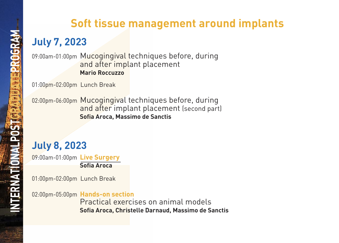# **Soft tissue management around implants**

# **July 7, 2023**

09:00am-01:00pm Mucogingival techniques before, during and after implant placement  **Mario Roccuzzo**

01:00pm-02:00pm Lunch Break

02:00pm-06:00pm Mucogingival techniques before, during and after implant placement (second part)  **Sofia Aroca, Massimo de Sanctis** 

# **July 8, 2023**

09:00am-01:00pm **Live Surgery Sofia Aroca**

01:00pm-02:00pm Lunch Break

02:00pm-05:00pm **Hands-on section**

Practical exercises on animal models  **Sofia Aroca, Christelle Darnaud, Massimo de Sanctis**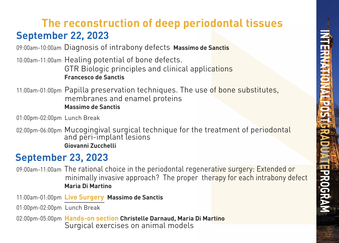# **September 22, 2023 The reconstruction of deep periodontal tissues**

09:00am-10:00am Diagnosis of intrabony defects **Massimo de Sanctis**

10:00am-11:00am Healing potential of bone defects. GTR Biologic principles and clinical applications  **Francesco de Sanctis**

11:00am-01:00pm Papilla preservation techniques. The use of bone substitutes, membranes and enamel proteins  **Massimo de Sanctis**

01:00pm-02:00pm Lunch Break

02:00pm-06:00pm Mucogingival surgical technique for the treatment of periodontal<br>and peri-implant lesions  **Giovanni Zucchelli** 

#### **September 23, 2023**

09:00am-11:00am The rational choice in the periodontal regenerative surgery: Extended or minimally invasive approach? The proper therapy for each intrabony defect  **Maria Di Martino**

11:00am-01:00pm **Live Surgery Massimo de Sanctis**

01:00pm-02:00pm Lunch Break

02:00pm-05:00pm **Hands-on section Christelle Darnaud, Maria Di Martino** Surgical exercises on animal models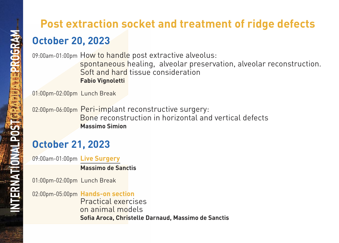# **October 20, 2023 Post extraction socket and treatment of ridge defects**

09:00am-01:00pm How to handle post extractive alveolus:

 spontaneous healing, alveolar preservation, alveolar reconstruction. Soft and hard tissue consideration  **Fabio Vignoletti**

01:00pm-02:00pm Lunch Break

02:00pm-06:00pm Peri-implant reconstructive surgery: Bone reconstruction in horizontal and vertical defects  **Massimo Simion** 

# **October 21, 2023**

09:00am-01:00pm **Live Surgery** 

**Massimo de Sanctis**

01:00pm-02:00pm Lunch Break

02:00pm-05:00pm **Hands-on section**

Practical exercises on animal models  **Sofia Aroca, Christelle Darnaud, Massimo de Sanctis**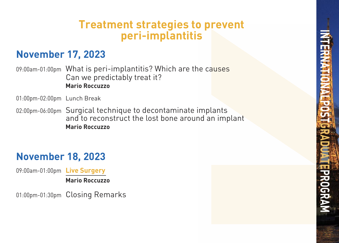### **Treatment strategies to prevent peri-implantitis**

### **November 17, 2023**

09:00am-01:00pm What is peri-implantitis? Which are the causes Can we predictably treat it?  **Mario Roccuzzo**

01:00pm-02:00pm Lunch Break

02:00pm-06:00pm Surgical technique to decontaminate implants and to reconstruct the lost bone around an implant  **Mario Roccuzzo**

# **November 18, 2023**

09:00am-01:00pm **Live Surgery** 

 **Mario Roccuzzo**

01:00pm-01:30pm Closing Remarks